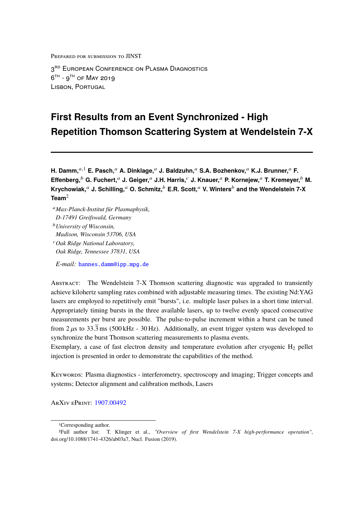Prepared for submission to JINST

3<sup>rd</sup> European Conference on Plasma Diagnostics  $6^{\texttt{th}}$  -  $9^{\texttt{th}}$  of May 2019 Lisbon, Portugal

# **First Results from an Event Synchronized - High Repetition Thomson Scattering System at Wendelstein 7-X**

**H. Damm,**a,<sup>1</sup> **E. Pasch,**<sup>a</sup> **A. Dinklage,**<sup>a</sup> **J. Baldzuhn,**<sup>a</sup> **S.A. Bozhenkov,**<sup>a</sup> **K.J. Brunner,**<sup>a</sup> **F. Effenberg,**<sup>b</sup> **G. Fuchert,**<sup>a</sup> **J. Geiger,**<sup>a</sup> **J.H. Harris,**<sup>c</sup> **J. Knauer,**<sup>a</sup> **P. Kornejew,**<sup>a</sup> **T. Kremeyer,**<sup>b</sup> **M. Krychowiak,**<sup>a</sup> **J. Schilling,**<sup>a</sup> **O. Schmitz,**<sup>b</sup> **E.R. Scott,**<sup>a</sup> **V. Winters**<sup>b</sup> **and the Wendelstein 7-X Team**<sup>2</sup>

<sup>a</sup>*Max-Planck-Institut für Plasmaphysik, D-17491 Greifswald, Germany*

<sup>b</sup>*University of Wisconsin,*

*Madison, Wisconsin 53706, USA* <sup>c</sup>*Oak Ridge National Laboratory, Oak Ridge, Tennessee 37831, USA*

*E-mail:* [hannes.damm@ipp.mpg.de](mailto:hannes.damm@ipp.mpg.de)

ABSTRACT: The Wendelstein 7-X Thomson scattering diagnostic was upgraded to transiently achieve kilohertz sampling rates combined with adjustable measuring times. The existing Nd:YAG lasers are employed to repetitively emit "bursts", i.e. multiple laser pulses in a short time interval. Appropriately timing bursts in the three available lasers, up to twelve evenly spaced consecutive measurements per burst are possible. The pulse-to-pulse increment within a burst can be tuned from 2  $\mu$ s to 33.3 ms (500 kHz - 30 Hz). Additionally, an event trigger system was developed to synchronize the burst Thomson scattering measurements to plasma events.

Exemplary, a case of fast electron density and temperature evolution after cryogenic  $H_2$  pellet injection is presented in order to demonstrate the capabilities of the method.

KEYWORDS: Plasma diagnostics - interferometry, spectroscopy and imaging; Trigger concepts and systems; Detector alignment and calibration methods, Lasers

ArXiv ePrint: [1907.00492](http://arxiv.org/abs/1907.00492)

<sup>1</sup>Corresponding author.

<sup>2</sup>Full author list: T. Klinger et al., *"Overview of first Wendelstein 7-X high-performance operation"*, doi.org/10.1088/1741-4326/ab03a7, Nucl. Fusion (2019).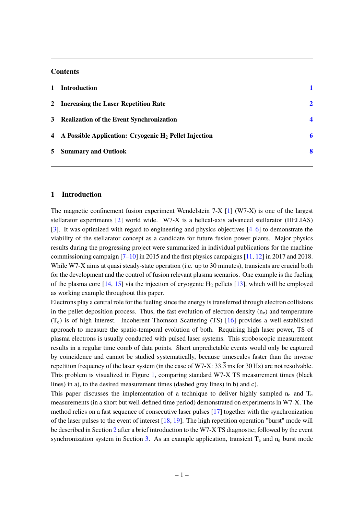#### **Contents**

| $\mathbf{1}$ | <b>Introduction</b>                                        |                         |
|--------------|------------------------------------------------------------|-------------------------|
|              | 2 Increasing the Laser Repetition Rate                     | $\mathbf{2}$            |
|              | 3 Realization of the Event Synchronization                 | $\overline{\mathbf{4}}$ |
|              | 4 A Possible Application: Cryogenic $H_2$ Pellet Injection | 6                       |
|              | 5 Summary and Outlook                                      | 8                       |
|              |                                                            |                         |

### <span id="page-1-0"></span>**1 Introduction**

The magnetic confinement fusion experiment Wendelstein 7-X [\[1\]](#page-9-0) (W7-X) is one of the largest stellarator experiments [\[2\]](#page-9-1) world wide. W7-X is a helical-axis advanced stellarator (HELIAS) [\[3\]](#page-9-2). It was optimized with regard to engineering and physics objectives [\[4–](#page-9-3)[6\]](#page-9-4) to demonstrate the viability of the stellarator concept as a candidate for future fusion power plants. Major physics results during the progressing project were summarized in individual publications for the machine commissioning campaign [\[7](#page-9-5)[–10\]](#page-9-6) in 2015 and the first physics campaigns [\[11,](#page-9-7) [12\]](#page-9-8) in 2017 and 2018. While W7-X aims at quasi steady-state operation (i.e. up to 30 minutes), transients are crucial both for the development and the control of fusion relevant plasma scenarios. One example is the fueling of the plasma core  $[14, 15]$  $[14, 15]$  $[14, 15]$  via the injection of cryogenic  $H_2$  pellets  $[13]$ , which will be employed as working example throughout this paper.

Electrons play a central role for the fueling since the energy is transferred through electron collisions in the pellet deposition process. Thus, the fast evolution of electron density  $(n_e)$  and temperature  $(T_e)$  is of high interest. Incoherent Thomson Scattering (TS) [\[16\]](#page-9-12) provides a well-established approach to measure the spatio-temporal evolution of both. Requiring high laser power, TS of plasma electrons is usually conducted with pulsed laser systems. This stroboscopic measurement results in a regular time comb of data points. Short unpredictable events would only be captured by coincidence and cannot be studied systematically, because timescales faster than the inverse repetition frequency of the laser system (in the case of W7-X:  $33.\overline{3}$  ms for  $30 \text{ Hz}$ ) are not resolvable. This problem is visualized in Figure [1,](#page-2-1) comparing standard W7-X TS measurement times (black lines) in a), to the desired measurement times (dashed gray lines) in b) and c).

This paper discusses the implementation of a technique to deliver highly sampled  $n_e$  and  $T_e$ measurements (in a short but well-defined time period) demonstrated on experiments in W7-X. The method relies on a fast sequence of consecutive laser pulses [\[17\]](#page-10-0) together with the synchronization of the laser pulses to the event of interest [\[18,](#page-10-1) [19\]](#page-10-2). The high repetition operation "burst" mode will be described in Section [2](#page-2-0) after a brief introduction to the W7-X TS diagnostic; followed by the event synchronization system in Section [3.](#page-4-0) As an example application, transient  $T_e$  and  $n_e$  burst mode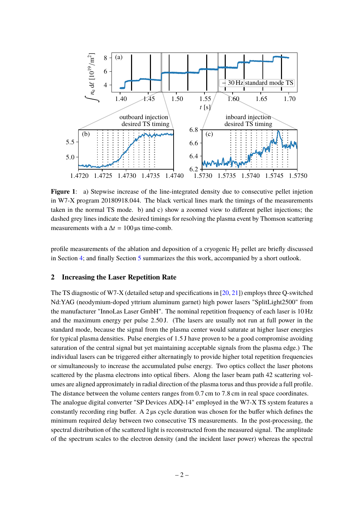<span id="page-2-1"></span>

**Figure 1**: a) Stepwise increase of the line-integrated density due to consecutive pellet injetion in W7-X program 20180918.044. The black vertical lines mark the timings of the measurements taken in the normal TS mode. b) and c) show a zoomed view to different pellet injections; the dashed grey lines indicate the desired timings for resolving the plasma event by Thomson scattering measurements with a  $\Delta t = 100 \,\mu s$  time-comb.

profile measurements of the ablation and deposition of a cryogenic  $H_2$  pellet are briefly discussed in Section [4;](#page-6-0) and finally Section [5](#page-8-0) summarizes the this work, accompanied by a short outlook.

### <span id="page-2-0"></span>**2 Increasing the Laser Repetition Rate**

The TS diagnostic of W7-X (detailed setup and specifications in  $[20, 21]$  $[20, 21]$  $[20, 21]$ ) employs three Q-switched Nd:YAG (neodymium-doped yttrium aluminum garnet) high power lasers "SplitLight2500" from the manufacturer "InnoLas Laser GmbH". The nominal repetition frequency of each laser is 10 Hz and the maximum energy per pulse <sup>2</sup>.50 J. (The lasers are usually not run at full power in the standard mode, because the signal from the plasma center would saturate at higher laser energies for typical plasma densities. Pulse energies of <sup>1</sup>.5 J have proven to be a good compromise avoiding saturation of the central signal but yet maintaining acceptable signals from the plasma edge.) The individual lasers can be triggered either alternatingly to provide higher total repetition frequencies or simultaneously to increase the accumulated pulse energy. Two optics collect the laser photons scattered by the plasma electrons into optical fibers. Along the laser beam path 42 scattering volumes are aligned approximately in radial direction of the plasma torus and thus provide a full profile. The distance between the volume centers ranges from <sup>0</sup>.7 cm to <sup>7</sup>.8 cm in real space coordinates. The analogue digital converter "SP Devices ADQ-14" employed in the W7-X TS system features a constantly recording ring buffer. A  $2 \mu s$  cycle duration was chosen for the buffer which defines the minimum required delay between two consecutive TS measurements. In the post-processing, the spectral distribution of the scattered light is reconstructed from the measured signal. The amplitude of the spectrum scales to the electron density (and the incident laser power) whereas the spectral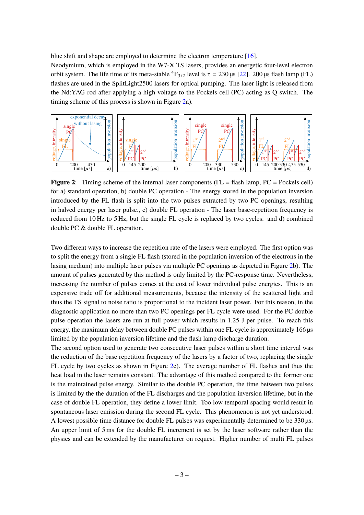blue shift and shape are employed to determine the electron temperature [\[16\]](#page-9-12).

Neodymium, which is employed in the W7-X TS lasers, provides an energetic four-level electron orbit system. The life time of its meta-stable  ${}^{4}F_{3/2}$  level is τ = 230 μs [\[22\]](#page-10-5). 200 μs flash lamp (FL) flashes are used in the SplitLight2500 lasers for optical pumping. The laser light is released from the Nd:YAG rod after applying a high voltage to the Pockels cell (PC) acting as Q-switch. The timing scheme of this process is shown in Figure [2a](#page-3-0)).

<span id="page-3-0"></span>

**Figure 2**: Timing scheme of the internal laser components (FL = flash lamp, PC = Pockels cell) for a) standard operation, b) double PC operation - The energy stored in the population inversion introduced by the FL flash is split into the two pulses extracted by two PC openings, resulting in halved energy per laser pulse., c) double FL operation - The laser base-repetition frequency is reduced from 10 Hz to 5 Hz, but the single FL cycle is replaced by two cycles. and d) combined double PC & double FL operation.

Two different ways to increase the repetition rate of the lasers were employed. The first option was to split the energy from a single FL flash (stored in the population inversion of the electrons in the lasing medium) into multiple laser pulses via multiple PC openings as depicted in Figure [2b](#page-3-0)). The amount of pulses generated by this method is only limited by the PC-response time. Nevertheless, increasing the number of pulses comes at the cost of lower individual pulse energies. This is an expensive trade off for additional measurements, because the intensity of the scattered light and thus the TS signal to noise ratio is proportional to the incident laser power. For this reason, in the diagnostic application no more than two PC openings per FL cycle were used. For the PC double pulse operation the lasers are run at full power which results in 1.25 J per pulse. To reach this energy, the maximum delay between double PC pulses within one FL cycle is approximately 166 µs limited by the population inversion lifetime and the flash lamp discharge duration.

The second option used to generate two consecutive laser pulses within a short time interval was the reduction of the base repetition frequency of the lasers by a factor of two, replacing the single FL cycle by two cycles as shown in Figure [2c](#page-3-0)). The average number of FL flashes and thus the heat load in the laser remains constant. The advantage of this method compared to the former one is the maintained pulse energy. Similar to the double PC operation, the time between two pulses is limited by the the duration of the FL discharges and the population inversion lifetime, but in the case of double FL operation, they define a lower limit. Too low temporal spacing would result in spontaneous laser emission during the second FL cycle. This phenomenon is not yet understood. A lowest possible time distance for double FL pulses was experimentally determined to be 330 µs. An upper limit of 5 ms for the double FL increment is set by the laser software rather than the physics and can be extended by the manufacturer on request. Higher number of multi FL pulses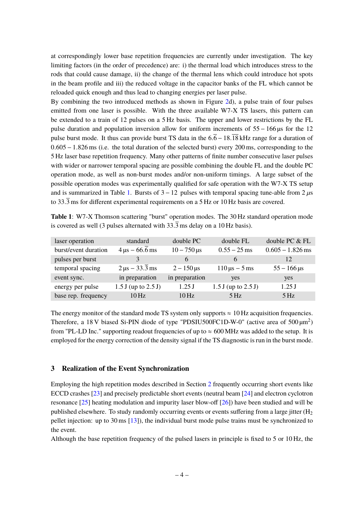at correspondingly lower base repetition frequencies are currently under investigation. The key limiting factors (in the order of precedence) are: i) the thermal load which introduces stress to the rods that could cause damage, ii) the change of the thermal lens which could introduce hot spots in the beam profile and iii) the reduced voltage in the capacitor banks of the FL which cannot be reloaded quick enough and thus lead to changing energies per laser pulse.

By combining the two introduced methods as shown in Figure [2d](#page-3-0)), a pulse train of four pulses emitted from one laser is possible. With the three available W7-X TS lasers, this pattern can be extended to a train of 12 pulses on a 5 Hz basis. The upper and lower restrictions by the FL pulse duration and population inversion allow for uniform increments of 55 − 166 µs for the 12 pulse burst mode. It thus can provide burst TS data in the  $6.\overline{6} - 18.\overline{18}$  kHz range for a duration of <sup>0</sup>.<sup>605</sup> <sup>−</sup> <sup>1</sup>.826 ms (i.e. the total duration of the selected burst) every 200 ms, corresponding to the 5 Hz laser base repetition frequency. Many other patterns of finite number consecutive laser pulses with wider or narrower temporal spacing are possible combining the double FL and the double PC operation mode, as well as non-burst modes and/or non-uniform timings. A large subset of the possible operation modes was experimentally qualified for safe operation with the W7-X TS setup and is summarized in Table [1.](#page-4-1) Bursts of  $3 - 12$  pulses with temporal spacing tune-able from 2  $\mu$ s to  $33.\overline{3}$  ms for different experimental requirements on a 5 Hz or 10 Hz basis are covered.

<span id="page-4-1"></span>**Table 1**: W7-X Thomson scattering "burst" operation modes. The 30 Hz standard operation mode is covered as well (3 pulses alternated with  $33.\overline{3}$  ms delay on a 10 Hz basis).

| laser operation      | standard                                    | double PC          | double FL                                | double PC & FL     |
|----------------------|---------------------------------------------|--------------------|------------------------------------------|--------------------|
| burst/event duration | $4 \,\mathrm{\upmu s} - 66.6 \,\mathrm{ms}$ | $10 - 750 \,\mu s$ | $0.55 - 25$ ms                           | $0.605 - 1.826$ ms |
| pulses per burst     | 3                                           | 6                  | $\mathsf{h}$                             | 12                 |
| temporal spacing     | $2 \mu s - 33.\overline{3} \text{ ms}$      | $2 - 150 \,\mu s$  | $110 \,\mathrm{\mu s} - 5 \,\mathrm{ms}$ | $55 - 166 \,\mu s$ |
| event sync.          | in preparation                              | in preparation     | yes                                      | yes                |
| energy per pulse     | $1.5 J$ (up to $2.5 J$ )                    | $1.25$ J           | $1.5 J$ (up to $2.5 J$ )                 | $1.25$ J           |
| base rep. frequency  | 10 Hz                                       | 10 Hz              | 5 Hz                                     | $5\,\mathrm{Hz}$   |

The energy monitor of the standard mode TS system only supports  $\approx 10$  Hz acquisition frequencies. Therefore, a 18 V biased Si-PIN diode of type "PDSIU500FC1D-W-0" (active area of  $500 \mu m^2$ ) from "PL-LD Inc." supporting readout frequencies of up to  $\approx 600$  MHz was added to the setup. It is employed for the energy correction of the density signal if the TS diagnostic is run in the burst mode.

### <span id="page-4-0"></span>**3 Realization of the Event Synchronization**

Employing the high repetition modes described in Section [2](#page-2-0) frequently occurring short events like ECCD crashes [\[23\]](#page-10-6) and precisely predictable short events (neutral beam [\[24\]](#page-10-7) and electron cyclotron resonance [\[25\]](#page-10-8) heating modulation and impurity laser blow-off [\[26\]](#page-10-9)) have been studied and will be published elsewhere. To study randomly occurring events or events suffering from a large jitter  $(H_2)$ pellet injection: up to 30 ms [\[13\]](#page-9-11)), the individual burst mode pulse trains must be synchronized to the event.

Although the base repetition frequency of the pulsed lasers in principle is fixed to 5 or 10 Hz, the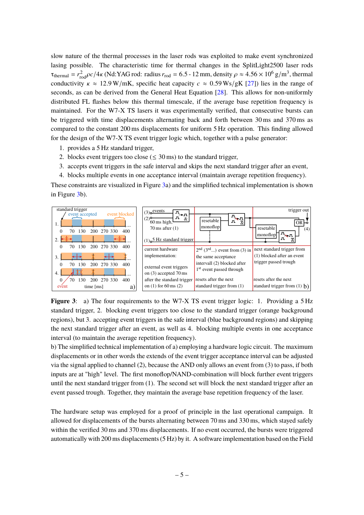slow nature of the thermal processes in the laser rods was exploited to make event synchronized lasing possible. The characteristic time for thermal changes in the SplitLight2500 laser rods  $\tau_{\text{thermal}} = r_{\text{rod}}^2 \rho c / 4 \kappa$  (Nd:YAG rod: radius  $r_{\text{rod}} = 6.5 \text{ - } 12 \text{ mm}$ , density  $\rho \approx 4.56 \times 10^6 \text{ g/m}^3$ , thermal<br>conductivity  $\mu_{\text{tot}} = 12.0 \text{ W/m}$  expects heat conseity e.g. 0.50 We (eV. 1271) lies in the gang conductivity  $\kappa \approx 12.9 \text{ W/mK}$ , specific heat capacity  $c \approx 0.59 \text{ Ws/gK}$  [\[27\]](#page-10-10)) lies in the range of seconds, as can be derived from the General Heat Equation [\[28\]](#page-10-11). This allows for non-uniformly distributed FL flashes below this thermal timescale, if the average base repetition frequency is maintained. For the W7-X TS lasers it was experimentally verified, that consecutive bursts can be triggered with time displacements alternating back and forth between 30 ms and 370 ms as compared to the constant 200 ms displacements for uniform 5 Hz operation. This finding allowed for the design of the W7-X TS event trigger logic which, together with a pulse generator:

- 1. provides a 5 Hz standard trigger,
- 2. blocks event triggers too close ( $\leq$  30 ms) to the standard trigger,
- 3. accepts event triggers in the safe interval and skips the next standard trigger after an event,
- 4. blocks multiple events in one acceptance interval (maintain average repetition frequency).

These constraints are visualized in Figure [3a](#page-5-0)) and the simplified technical implementation is shown in Figure [3b](#page-5-0)).

<span id="page-5-0"></span>

**Figure 3**: a) The four requirements to the W7-X TS event trigger logic: 1. Providing a 5 Hz standard trigger, 2. blocking event triggers too close to the standard trigger (orange background regions), but 3. accepting event triggers in the safe interval (blue background regions) and skipping the next standard trigger after an event, as well as 4. blocking multiple events in one acceptance interval (to maintain the average repetition frequency).

b) The simplified technical implementation of a) employing a hardware logic circuit. The maximum displacements or in other words the extends of the event trigger acceptance interval can be adjusted via the signal applied to channel (2), because the AND only allows an event from (3) to pass, if both inputs are at "high" level. The first monoflop/NAND-combination will block further event triggers until the next standard trigger from (1). The second set will block the next standard trigger after an event passed trough. Together, they maintain the average base repetition frequency of the laser.

The hardware setup was employed for a proof of principle in the last operational campaign. It allowed for displacements of the bursts alternating between 70 ms and 330 ms, which stayed safely within the verified 30 ms and 370 ms displacements. If no event occurred, the bursts were triggered automatically with 200 ms displacements (5 Hz) by it. A software implementation based on the Field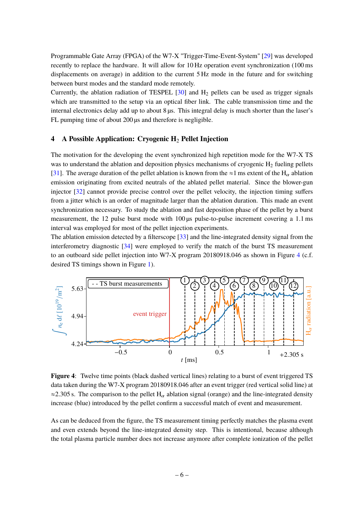Programmable Gate Array (FPGA) of the W7-X "Trigger-Time-Event-System" [\[29\]](#page-10-12) was developed recently to replace the hardware. It will allow for 10 Hz operation event synchronization (100 ms displacements on average) in addition to the current 5 Hz mode in the future and for switching between burst modes and the standard mode remotely.

Currently, the ablation radiation of TESPEL  $[30]$  and  $H_2$  pellets can be used as trigger signals which are transmitted to the setup via an optical fiber link. The cable transmission time and the internal electronics delay add up to about 8 µs. This integral delay is much shorter than the laser's FL pumping time of about 200 µs and therefore is negligible.

## <span id="page-6-0"></span>**4 A Possible Application: Cryogenic H**<sup>2</sup> **Pellet Injection**

The motivation for the developing the event synchronized high repetition mode for the W7-X TS was to understand the ablation and deposition physics mechanisms of cryogenic  $H_2$  fueling pellets [\[31\]](#page-10-14). The average duration of the pellet ablation is known from the ≈1 ms extent of the H<sub>α</sub> ablation emission originating from excited neutrals of the ablated pellet material. Since the blower-gun injector [\[32\]](#page-10-15) cannot provide precise control over the pellet velocity, the injection timing suffers from a jitter which is an order of magnitude larger than the ablation duration. This made an event synchronization necessary. To study the ablation and fast deposition phase of the pellet by a burst measurement, the 12 pulse burst mode with 100 us pulse-to-pulse increment covering a 1.1 ms interval was employed for most of the pellet injection experiments.

The ablation emission detected by a filterscope [\[33\]](#page-10-16) and the line-integrated density signal from the interferometry diagnostic [\[34\]](#page-10-17) were employed to verify the match of the burst TS measurement to an outboard side pellet injection into W7-X program 20180918.0[4](#page-6-1)6 as shown in Figure 4 (c.f. desired TS timings shown in Figure [1\)](#page-2-1).

<span id="page-6-1"></span>

**Figure 4**: Twelve time points (black dashed vertical lines) relating to a burst of event triggered TS data taken during the W7-X program 20180918.046 after an event trigger (red vertical solid line) at  $\approx$ 2.305 s. The comparison to the pellet H<sub>α</sub> ablation signal (orange) and the line-integrated density increase (blue) introduced by the pellet confirm a successful match of event and measurement.

As can be deduced from the figure, the TS measurement timing perfectly matches the plasma event and even extends beyond the line-integrated density step. This is intentional, because although the total plasma particle number does not increase anymore after complete ionization of the pellet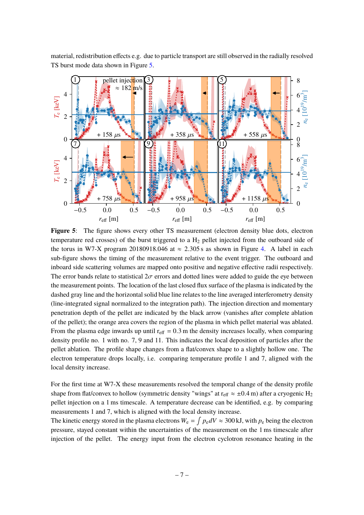material, redistribution effects e.g. due to particle transport are still observed in the radially resolved TS burst mode data shown in Figure [5.](#page-7-0)

<span id="page-7-0"></span>

Figure 5: The figure shows every other TS measurement (electron density blue dots, electron temperature red crosses) of the burst triggered to a  $H_2$  pellet injected from the outboard side of the torus in W7-X program 20180918.046 at  $\approx$  2.305 s as shown in Figure [4.](#page-6-1) A label in each sub-figure shows the timing of the measurement relative to the event trigger. The outboard and inboard side scattering volumes are mapped onto positive and negative effective radii respectively. The error bands relate to statistical  $2\sigma$  errors and dotted lines were added to guide the eye between the measurement points. The location of the last closed flux surface of the plasma is indicated by the dashed gray line and the horizontal solid blue line relates to the line averaged interferometry density (line-integrated signal normalized to the integration path). The injection direction and momentary penetration depth of the pellet are indicated by the black arrow (vanishes after complete ablation of the pellet); the orange area covers the region of the plasma in which pellet material was ablated. From the plasma edge inwards up until  $r_{\text{eff}} = 0.3$  m the density increases locally, when comparing density profile no. 1 with no. 7, 9 and 11. This indicates the local deposition of particles after the pellet ablation. The profile shape changes from a flat/convex shape to a slightly hollow one. The electron temperature drops locally, i.e. comparing temperature profile 1 and 7, aligned with the local density increase.

For the first time at W7-X these measurements resolved the temporal change of the density profile shape from flat/convex to hollow (symmetric density "wings" at  $r_{\text{eff}} \approx \pm 0.4$  m) after a cryogenic H<sub>2</sub> pellet injection on a 1 ms timescale. A temperature decrease can be identified, e.g. by comparing measurements 1 and 7, which is aligned with the local density increase.

The kinetic energy stored in the plasma electrons  $W_{\rm e}=\int p_{\rm e}dV\approx 300$  kJ, with  $p_{\rm e}$  being the electron pressure, stayed constant within the uncertainties of the measurement on the 1 ms timescale after injection of the pellet. The energy input from the electron cyclotron resonance heating in the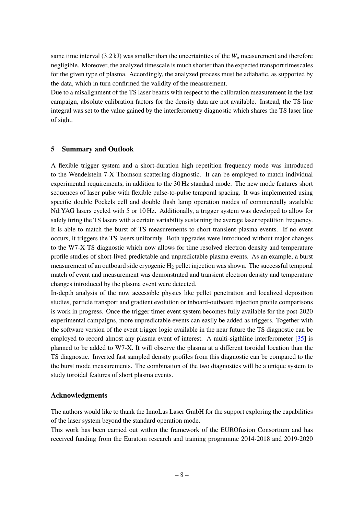same time interval  $(3.2 \text{ kJ})$  was smaller than the uncertainties of the  $W_e$  measurement and therefore negligible. Moreover, the analyzed timescale is much shorter than the expected transport timescales for the given type of plasma. Accordingly, the analyzed process must be adiabatic, as supported by the data, which in turn confirmed the validity of the measurement.

Due to a misalignment of the TS laser beams with respect to the calibration measurement in the last campaign, absolute calibration factors for the density data are not available. Instead, the TS line integral was set to the value gained by the interferometry diagnostic which shares the TS laser line of sight.

#### <span id="page-8-0"></span>**5 Summary and Outlook**

A flexible trigger system and a short-duration high repetition frequency mode was introduced to the Wendelstein 7-X Thomson scattering diagnostic. It can be employed to match individual experimental requirements, in addition to the 30 Hz standard mode. The new mode features short sequences of laser pulse with flexible pulse-to-pulse temporal spacing. It was implemented using specific double Pockels cell and double flash lamp operation modes of commercially available Nd:YAG lasers cycled with 5 or 10 Hz. Additionally, a trigger system was developed to allow for safely firing the TS lasers with a certain variability sustaining the average laser repetition frequency. It is able to match the burst of TS measurements to short transient plasma events. If no event occurs, it triggers the TS lasers uniformly. Both upgrades were introduced without major changes to the W7-X TS diagnostic which now allows for time resolved electron density and temperature profile studies of short-lived predictable and unpredictable plasma events. As an example, a burst measurement of an outboard side cryogenic  $H_2$  pellet injection was shown. The successful temporal match of event and measurement was demonstrated and transient electron density and temperature changes introduced by the plasma event were detected.

In-depth analysis of the now accessible physics like pellet penetration and localized deposition studies, particle transport and gradient evolution or inboard-outboard injection profile comparisons is work in progress. Once the trigger timer event system becomes fully available for the post-2020 experimental campaigns, more unpredictable events can easily be added as triggers. Together with the software version of the event trigger logic available in the near future the TS diagnostic can be employed to record almost any plasma event of interest. A multi-sigthline interferometer [\[35\]](#page-10-18) is planned to be added to W7-X. It will observe the plasma at a different toroidal location than the TS diagnostic. Inverted fast sampled density profiles from this diagnostic can be compared to the the burst mode measurements. The combination of the two diagnostics will be a unique system to study toroidal features of short plasma events.

## **Acknowledgments**

The authors would like to thank the InnoLas Laser GmbH for the support exploring the capabilities of the laser system beyond the standard operation mode.

This work has been carried out within the framework of the EUROfusion Consortium and has received funding from the Euratom research and training programme 2014-2018 and 2019-2020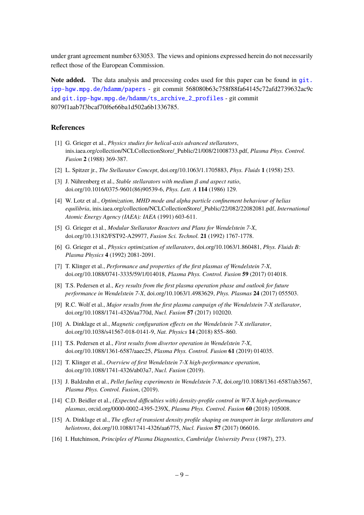under grant agreement number 633053. The views and opinions expressed herein do not necessarily reflect those of the European Commission.

Note added. The data analysis and processing codes used for this paper can be found in [git.](git.ipp-hgw.mpg.de/hdamm/papers) [ipp-hgw.mpg.de/hdamm/papers](git.ipp-hgw.mpg.de/hdamm/papers) - git commit 568080b63c758f88fa64145c72afd2739632ac9c and [git.ipp-hgw.mpg.de/hdamm/ts\\_archive\\_2\\_profiles](git.ipp-hgw.mpg.de/hdamm/ts_archive_2_profiles) - git commit 8079f1aab7f3bcaf70f6e66ba1d502a6b1336785.

## **References**

- <span id="page-9-0"></span>[1] G. Grieger et al., *Physics studies for helical-axis advanced stellarators*, inis.iaea.org/collection/NCLCollectionStore/\_Public/21/008/21008733.pdf, *Plasma Phys. Control. Fusion* **2** (1988) 369-387.
- <span id="page-9-1"></span>[2] L. Spitzer jr., *The Stellarator Concept*, doi.org/10.1063/1.1705883, *Phys. Fluids* **1** (1958) 253.
- <span id="page-9-2"></span>[3] J. Nührenberg et al., *Stable stellarators with medium* β *and aspect ratio*, doi.org/10.1016/0375-9601(86)90539-6, *Phys. Lett. A* **114** (1986) 129.
- <span id="page-9-3"></span>[4] W. Lotz et al., *Optimization, MHD mode and alpha particle confinement behaviour of helias equilibria*, inis.iaea.org/collection/NCLCollectionStore/\_Public/22/082/22082081.pdf, *International Atomic Energy Agency (IAEA): IAEA* (1991) 603-611.
- [5] G. Grieger et al., *Modular Stellarator Reactors and Plans for Wendelstein 7-X*, doi.org/10.13182/FST92-A29977, *Fusion Sci. Technol.* **21** (1992) 1767-1778.
- <span id="page-9-4"></span>[6] G. Grieger et al., *Physics optimization of stellarators*, doi.org/10.1063/1.860481, *Phys. Fluids B: Plasma Physics* **4** (1992) 2081-2091.
- <span id="page-9-5"></span>[7] T. Klinger et al., *Performance and properties of the first plasmas of Wendelstein 7-X*, doi.org/10.1088/0741-3335/59/1/014018, *Plasma Phys. Control. Fusion* **59** (2017) 014018.
- [8] T.S. Pedersen et al., *Key results from the first plasma operation phase and outlook for future performance in Wendelstein 7-X*, doi.org/10.1063/1.4983629, *Phys. Plasmas* **24** (2017) 055503.
- [9] R.C. Wolf et al., *Major results from the first plasma campaign of the Wendelstein 7-X stellarator*, doi.org/10.1088/1741-4326/aa770d, *Nucl. Fusion* **57** (2017) 102020.
- <span id="page-9-6"></span>[10] A. Dinklage et al., *Magnetic configuration effects on the Wendelstein 7-X stellarator*, doi.org/10.1038/s41567-018-0141-9, *Nat. Physics* **14** (2018) 855–860.
- <span id="page-9-7"></span>[11] T.S. Pedersen et al., *First results from divertor operation in Wendelstein 7-X*, doi.org/10.1088/1361-6587/aaec25, *Plasma Phys. Control. Fusion* **61** (2019) 014035.
- <span id="page-9-8"></span>[12] T. Klinger et al., *Overview of first Wendelstein 7-X high-performance operation*, doi.org/10.1088/1741-4326/ab03a7, *Nucl. Fusion* (2019).
- <span id="page-9-11"></span>[13] J. Baldzuhn et al., *Pellet fueling experiments in Wendelstein 7-X*, doi.org/10.1088/1361-6587/ab3567, *Plasma Phys. Control. Fusion*, (2019).
- <span id="page-9-9"></span>[14] C.D. Beidler et al., *(Expected difficulties with) density-profile control in W7-X high-performance plasmas*, orcid.org/0000-0002-4395-239X, *Plasma Phys. Control. Fusion* **60** (2018) 105008.
- <span id="page-9-10"></span>[15] A. Dinklage et al., *The effect of transient density profile shaping on transport in large stellarators and heliotrons*, doi.org/10.1088/1741-4326/aa6775, *Nucl. Fusion* **57** (2017) 066016.
- <span id="page-9-12"></span>[16] I. Hutchinson, *Principles of Plasma Diagnostics*, *Cambridge University Press* (1987), 273.